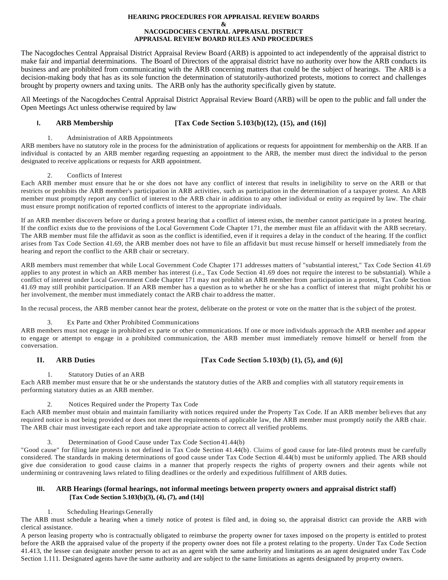# **HEARING PROCEDURES FOR APPRAISAL REVIEW BOARDS**

#### **& NACOGDOCHES CENTRAL APPRAISAL DISTRICT APPRAISAL REVIEW BOARD RULES AND PROCEDURES**

The Nacogdoches Central Appraisal District Appraisal Review Board (ARB) is appointed to act independently of the appraisal district to make fair and impartial determinations. The Board of Directors of the appraisal district have no authority over how the ARB conducts its business and are prohibited from communicating with the ARB concerning matters that could be the subject of hearings. The ARB is a decision-making body that has as its sole function the determination of statutorily-authorized protests, motions to correct and challenges brought by property owners and taxing units. The ARB only has the authority specifically given by statute.

All Meetings of the Nacogdoches Central Appraisal District Appraisal Review Board (ARB) will be open to the public and fall under the Open Meetings Act unless otherwise required by law

# **I. ARB Membership [Tax Code Section 5.103(b)(12), (15), and (16)]**

# 1. Administration of ARB Appointments

ARB members have no statutory role in the process for the administration of applications or requests for appointment for membership on the ARB. If an individual is contacted by an ARB member regarding requesting an appointment to the ARB, the member must direct the individual to the person designated to receive applications or requests for ARB appointment.

# 2. Conflicts of Interest

Each ARB member must ensure that he or she does not have any conflict of interest that results in ineligibility to serve on the ARB or that restricts or prohibits the ARB member's participation in ARB activities, such as participation in the determination of a taxpayer protest. An ARB member must promptly report any conflict of interest to the ARB chair in addition to any other individual or entity as required by law. The chair must ensure prompt notification of reported conflicts of interest to the appropriate individuals.

If an ARB member discovers before or during a protest hearing that a conflict of interest exists, the member cannot participate in a protest hearing. If the conflict exists due to the provisions of the Local Government Code Chapter 171, the member must file an affidavit with the ARB secretary. The ARB member must file the affidavit as soon as the conflict is identified, even if it requires a delay in the conduct of the hearing. If the conflict arises from Tax Code Section 41.69, the ARB member does not have to file an affidavit but must recuse himself or herself immediately from the hearing and report the conflict to the ARB chair or secretary.

ARB members must remember that while Local Government Code Chapter 171 addresses matters of "substantial interest," Tax Code Section 41.69 applies to any protest in which an ARB member has interest (i.e., Tax Code Section 41.69 does not require the interest to be substantial). While a conflict of interest under Local Government Code Chapter 171 may not prohibit an ARB member from participation in a protest, Tax Code Section 41.69 may still prohibit participation. If an ARB member has a question as to whether he or she has a conflict of interest that might prohibit his or her involvement, the member must immediately contact the ARB chair to address the matter.

In the recusal process, the ARB member cannot hear the protest, deliberate on the protest or vote on the matter that is the s ubject of the protest.

# 3. Ex Parte and Other Prohibited Communications

ARB members must not engage in prohibited ex parte or other communications. If one or more individuals approach the ARB member and appear to engage or attempt to engage in a prohibited communication, the ARB member must immediately remove himself or herself from the conversation.

# **II. ARB Duties [Tax Code Section 5.103(b) (1), (5), and (6)]**

# 1. Statutory Duties of an ARB

Each ARB member must ensure that he or she understands the statutory duties of the ARB and complies with all statutory requir ements in performing statutory duties as an ARB member.

# 2. Notices Required under the Property Tax Code

Each ARB member must obtain and maintain familiarity with notices required under the Property Tax Code. If an ARB member beli eves that any required notice is not being provided or does not meet the requirements of applicable law, the ARB member must promptly notify the ARB chair. The ARB chair must investigate each report and take appropriate action to correct all verified problems.

3. Determination of Good Cause under Tax Code Section 41.44(b)

"Good cause" for filing late protests is not defined in Tax Code Section 41.44(b). Claims of good cause for late-filed protests must be carefully considered. The standards in making determinations of good cause under Tax Code Section 4l.44(b) must be uniformly applied. The ARB should give due consideration to good cause claims in a manner that properly respects the rights of property owners and their agents while not undermining or contravening laws related to filing deadlines or the orderly and expeditious fulfillment of ARB duties.

# **III. ARB Hearings (formal hearings, not informal meetings between property owners and appraisal district staff) [Tax Code Section 5.103(b)(3), (4), (7), and (14)]**

# 1. Scheduling Hearings Generally

The ARB must schedule a hearing when a timely notice of protest is filed and, in doing so, the appraisal district can provide the ARB with clerical assistance.

A person leasing property who is contractually obligated to reimburse the property owner for taxes imposed on the property is entitled to protest before the ARB the appraised value of the property if the property owner does not file a protest relating to the property. Un der Tax Code Section 41.413, the lessee can designate another person to act as an agent with the same authority and limitations as an agent designated under Tax Code Section 1.111. Designated agents have the same authority and are subject to the same limitations as agents designated by property owners.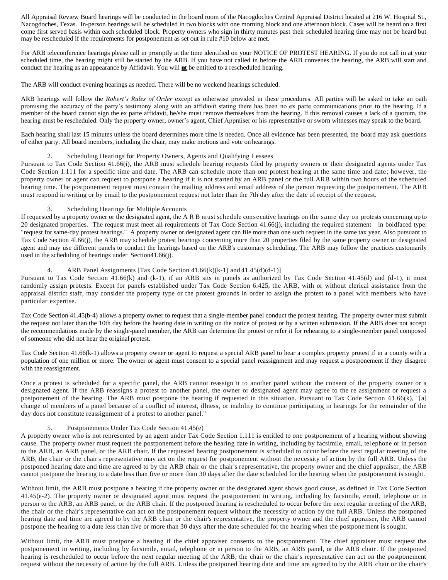All Appraisal Review Board hearings will be conducted in the board room of the Nacogdoches Central Appraisal District located at 216 W. Hospital St., Nacogdoches, Texas. In-person hearings will be scheduled in two blocks with one morning block and one afternoon block. Cases will be heard on a first come first served basis within each scheduled block. Property owners who sign in thirty minutes past their scheduled hearing time may not be heard but may be rescheduled if the requirements for postponement as set out in rule #10 below are met.

For ARB teleconference hearings please call in promptly at the time identified on your NOTICE OF PROTEST HEARING. If you do not call in at your scheduled time, the hearing might still be started by the ARB. If you have not called in before the ARB convenes the hearing, the ARB will start and conduct the hearing as an appearance by Affidavit. You will **nt** be entitled to a rescheduled hearing.

The ARB will conduct evening hearings as needed. There will be no weekend hearings scheduled.

ARB hearings will follow the *Robert's Rules of Order* except as otherwise provided in these procedures*.* All parties will be asked to take an oath promising the accuracy of the party's testimony along with an affidavit stating there has been no ex parte communications prior to the hearing. If a member of the board cannot sign the ex parte affidavit, he/she must remove themselves from the hearing. If this removal causes a lack of a quorum, the hearing must be rescheduled. Only the property owner, owner's agent, Chief Appraiser or his representative or sworn witnesses may speak to the board.

Each hearing shall last 15 minutes unless the board determines more time is needed. Once all evidence has been presented, the board may ask questions of either party. All board members, including the chair, may make motions and vote on hearings.

# 2. Scheduling Hearings for Property Owners, Agents and Qualifying Lessees

Pursuant to Tax Code Section 41.66(i), the ARB must schedule hearing requests filed by property owners or their designated a gents under Tax Code Section 1.111 for a specific time and date. The ARB can schedule more than one protest hearing at the same time and date; however, the property owner or agent can request to postpone a hearing if it is not started by an ARB panel or the full ARB within two hours of the scheduled hearing time. The postponement request must contain the mailing address and email address of the person requesting the postpo nement. The ARB must respond in writing or by email to the postponement request not later than the 7th day after the date of receipt of the request.

### 3. Scheduling Hearings for Multiple Accounts

If requested by a property owner or the designated agent, the A R B must schedule consecutive hearings on the same day on protests concerning up to 20 designated properties. The request must meet all requirements of Tax Code Section 41.66(j), including the required statement in boldfaced type: "request for same-day protest hearings." A property owner or designated agent can file more than one such request in the same tax year. Also pursuant to Tax Code Section 4l.66(j), the ARB may schedule protest hearings concerning more than 20 properties filed by the same property owner or designated agent and may use different panels to conduct the hearings based on the ARB's customary scheduling. The ARB may follow the practices customarily used in the scheduling of hearings under Section41.66(j).

### ARB Panel Assignments [Tax Code Section 41.66(k)(k-1) and 41.45(d)(d-1)]

Pursuant to Tax Code Section 41.66(k) and (k-1), if an ARB sits in panels as authorized by Tax Code Section 41.45(d) and (d-1), it must randomly assign protests. Except for panels established under Tax Code Section 6.425, the ARB, with or without clerical assistance from the appraisal district staff, may consider the property type or the protest grounds in order to assign the protest to a panel with members who have particular expertise.

Tax Code Section 41.45(b-4) allows a property owner to request that a single-member panel conduct the protest hearing. The property owner must submit the request not later than the 10th day before the hearing date in writing on the notice of protest or by a written submission. If the ARB does not accept the recommendations made by the single-panel member, the ARB can determine the protest or refer it for rehearing to a single-member panel composed of someone who did not hear the original protest.

Tax Code Section 41.66(k-1) allows a property owner or agent to request a special ARB panel to hear a complex property protest if in a county with a population of one million or more. The owner or agent must consent to a special panel reassignment and may request a postponement if they disagree with the reassignment.

Once a protest is scheduled for a specific panel, the ARB cannot reassign it to another panel without the consent of the property owner or a designated agent. If the ARB reassigns a protest to another panel, the owner or designated agent may agree to the re assignment or request a postponement of the hearing. The ARB must postpone the hearing if requested in this situation. Pursuant to Tax Code Section 4 1.66(k), "[a] change of members of a panel because of a conflict of interest, illness, or inability to continue participating in hearings for the remainder of the day does not constitute reassignment of a protest to another panel."

# Postponements Under Tax Code Section 41.45(e)

A property owner who is not represented by an agent under Tax Code Section 1.111 is entitled to one postponement of a hearing without showing cause. The property owner must request the postponement before the hearing date in writing, including by facsimile, email, te lephone or in person to the ARB, an ARB panel, or the ARB chair. If the requested hearing postponement is scheduled to occur before the next regul ar meeting of the ARB, the chair or the chair's representative may act on the request for postponement without the necessity of action by the full ARB. Unless the postponed hearing date and time are agreed to by the ARB chair or the chair's representative, the property owner and the chief appraiser, the ARB cannot postpone the hearing to a date less than five or more than 30 days after the date scheduled for the hearing when the postponement is sought.

Without limit, the ARB must postpone a hearing if the property owner or the designated agent shows good cause, as defined in Tax Code Section 41.45(e-2). The property owner or designated agent must request the postponement in writing, including by facsimile, email, telephone or in person to the ARB, an ARB panel, or the ARB chair. If the postponed hearing is rescheduled to occur before the next regular meeting of the ARB, the chair or the chair's representative can act on the postponement request without the necessity of action by the full ARB. Unless the postponed hearing date and time are agreed to by the ARB chair or the chair's representative, the property owner and the chief appraiser, the ARB cannot postpone the hearing to a date less than five or more than 30 days after the date scheduled for the hearing when the postponement is sought.

Without limit, the ARB must postpone a hearing if the chief appraiser consents to the postponement. The chief appraiser must request the postponement in writing, including by facsimile, email, telephone or in person to the ARB, an ARB panel, or the ARB chair. If the postponed hearing is rescheduled to occur before the next regular meeting of the ARB, the chair or the chair's representative can act on the postponement request without the necessity of action by the full ARB. Unless the postponed hearing date and time are agreed to by the ARB chair or the chair's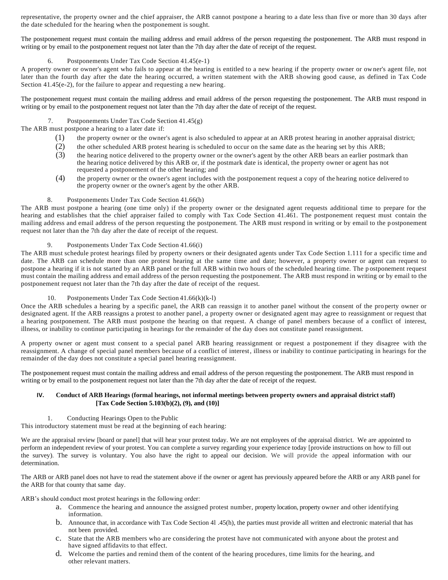representative, the property owner and the chief appraiser, the ARB cannot postpone a hearing to a date less than five or more than 30 days after the date scheduled for the hearing when the postponement is sought.

The postponement request must contain the mailing address and email address of the person requesting the postponement. The ARB must respond in writing or by email to the postponement request not later than the 7th day after the date of receipt of the request.

# Postponements Under Tax Code Section 41.45(e-1)

A property owner or owner's agent who fails to appear at the hearing is entitled to a new hearing if the property owner or owner's agent file, not later than the fourth day after the date the hearing occurred, a written statement with the ARB showing good cause, as defined in Tax Code Section 41.45(e-2), for the failure to appear and requesting a new hearing.

The postponement request must contain the mailing address and email address of the person requesting the postponement. The ARB must respond in writing or by email to the postponement request not later than the 7th day after the date of receipt of the request.

## 7. Postponements Under Tax Code Section 41.45(g)

The ARB must postpone a hearing to a later date if:

- (1) the property owner or the owner's agent is also scheduled to appear at an ARB protest hearing in another appraisal district;
- (2) the other scheduled ARB protest hearing is scheduled to occur on the same date as the hearing set by this ARB;
- (3) the hearing notice delivered to the property owner or the owner's agent by the other ARB bears an earlier postmark than the hearing notice delivered by this ARB or, if the postmark date is identical, the property owner or agent has not requested a postponement of the other hearing; and
- (4) the property owner or the owner's agent includes with the postponement request a copy of the hearing notice delivered to the property owner or the owner's agent by the other ARB.

#### 8. Postponements Under Tax Code Section 41.66(h)

The ARB must postpone a hearing (one time only) if the property owner or the designated agent requests additional time to prepare for the hearing and establishes that the chief appraiser failed to comply with Tax Code Section 41.461. The postponement request must contain the mailing address and email address of the person requesting the postponement. The ARB must respond in writing or by email to the postponement request not later than the 7th day after the date of receipt of the request.

## 9. Postponements Under Tax Code Section 41.66(i)

The ARB must schedule protest hearings filed by property owners or their designated agents under Tax Code Section 1.111 for a specific time and date. The ARB can schedule more than one protest hearing at the same time and date; however, a property owner or agent can request to postpone a hearing if it is not started by an ARB panel or the full ARB within two hours of the scheduled hearing time. The p ostponement request must contain the mailing address and email address of the person requesting the postponement. The ARB must respond in writing or by email to the postponement request not later than the 7th day after the date of receipt of the request.

# 10. Postponements Under Tax Code Section 41.66(k)(k-l)

Once the ARB schedules a hearing by a specific panel, the ARB can reassign it to another panel without the consent of the pro perty owner or designated agent. If the ARB reassigns a protest to another panel, a property owner or designated agent may agree to reassignment or request that a hearing postponement. The ARB must postpone the hearing on that request. A change of panel members because of a conflict of interest, illness, or inability to continue participating in hearings for the remainder of the day does not constitute panel reassignment.

A property owner or agent must consent to a special panel ARB hearing reassignment or request a postponement if they disagree with the reassignment. A change of special panel members because of a conflict of interest, illness or inability to continue participating in hearings for the remainder of the day does not constitute a special panel hearing reassignment.

The postponement request must contain the mailing address and email address of the person requesting the postponement. The ARB must respond in writing or by email to the postponement request not later than the 7th day after the date of receipt of the request.

### **IV. Conduct of ARB Hearings (formal hearings, not informal meetings between property owners and appraisal district staff) [Tax Code Section 5.103(b)(2), (9), and (10)]**

1. Conducting Hearings Open to the Public

This introductory statement must be read at the beginning of each hearing:

We are the appraisal review [board or panel] that will hear your protest today. We are not employees of the appraisal district. We are appointed to perform an independent review of your protest. You can complete a survey regarding your experience today [provide instructions on how to fill out the survey). The survey is voluntary. You also have the right to appeal our decision. We will provide the appeal information with our determination.

The ARB or ARB panel does not have to read the statement above if the owner or agent has previously appeared before the ARB or any ARB panel for the ARB for that county that same day.

ARB's should conduct most protest hearings in the following order:

- a. Commence the hearing and announce the assigned protest number, property location, property owner and other identifying information.
- b. Announce that, in accordance with Tax Code Section 4l .45(h), the parties must provide all written and electronic material that has not been provided.
- c. State that the ARB members who are considering the protest have not communicated with anyone about the protest and have signed affidavits to that effect.
- d. Welcome the parties and remind them of the content of the hearing procedures, time limits for the hearing, and other relevant matters.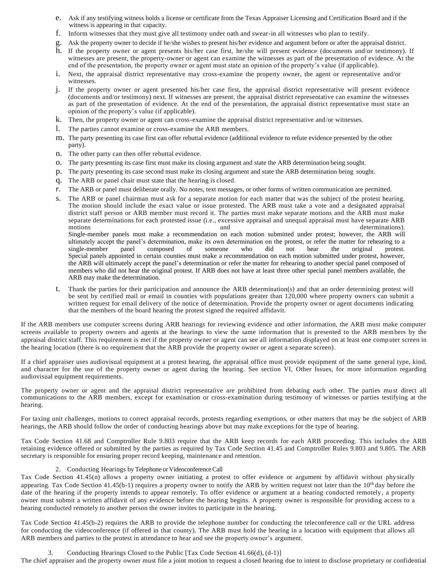- e. Ask if any testifying witness holds a license or certificate from the Texas Appraiser Licensing and Certification Board and if the witness is appearing in that capacity.
- f. Inform witnesses that they must give all testimony under oath and swear-in all witnesses who plan to testify.
- g. Ask the property owner to decide if he/she wishes to present his/her evidence and argument before or after the appraisal district.
- h. If the property owner or agent presents his/her case first, he/she will present evidence (documents and/or testimony). If witnesses are present, the property-owner or agent can examine the witnesses as part of the presentation of evidence. At the end of the presentation, the property owner or agent must state an opinion of the property's value (if applicable).
- i. Next, the appraisal district representative may cross-examine the property owner, the agent or representative and/or witnesses.
- j. If the property owner or agent presented his/her case first, the appraisal district representative will present evidence (documents and/or testimony) next. If witnesses are present, the appraisal district representative can examine the witnesses as part of the presentation of evidence. At the end of the presentation, the appraisal district representative must state an opinion of the property's value (if applicable).
- k. Then, the property owner or agent can cross-examine the appraisal district representative and/or witnesses.
- l. The parties cannot examine or cross-examine the ARB members.
- m. The party presenting its case first can offer rebuttal evidence (additional evidence to refute evidence presented by the other party).
- n. The other party can then offer rebuttal evidence.
- o. The party presenting its case first must make its closing argument and state the ARB determination being sought.
- p. The party presenting its case second must make its closing argument and state the ARB determination being sought.
- q. The ARB or panel chair must state that the hearing is closed.
- r. The ARB or panel must deliberate orally. No notes, text messages, or other forms of written communication are permitted.
- s. The ARB or panel chairman must ask for a separate motion for each matter that was the subject of the protest hearing. The motion should include the exact value or issue protested. The ARB must take a vote and a designated appraisal district staff person or ARB member must record it. The parties must make separate motions and the ARB must make separate determinations for each protested issue (i.e., excessive appraisal and unequal appraisal must have separate ARB motions and and determinations). Single-member panels must make a recommendation on each motion submitted under protest; however, the ARB will ultimately accept the panel's determination, make its own determination on the protest, or refer the matter for rehearing to a single-member panel composed of someone who did not hear the original protest. single-member panel composed of someone who did not hear the original protest. Special panels appointed in certain counties must make a recommendation on each motion submitted under protest, however, the ARB will ultimately accept the panel's determination or refer the matter for rehearing to another special panel composed of members who did not hear the original protest. If ARB does not have at least three other special panel members available, the ARB may make the determination.
- t. Thank the parties for their participation and announce the ARB determination(s) and that an order determining protest will be sent by certified mail or email in counties with populations greater than 120,000 where property owners can submit a written request for email delivery of the notice of determination. Provide the property owner or agent documents indicating that the members of the board hearing the protest signed the required affidavit.

If the ARB members use computer screens during ARB hearings for reviewing evidence and other information, the ARB must make computer screens available to property owners and agents at the hearings to view the same information that is presented to the ARB members by the appraisal district staff. This requirement is met if the property owner or agent can see all information displayed on at least one computer screen in the hearing location (there is no requirement that the ARB provide the property owner or agent a separate screen).

If a chief appraiser uses audiovisual equipment at a protest hearing, the appraisal office must provide equipment of the same general type, kind, and character for the use of the property owner or agent during the hearing. See section VI, Other Issues, for more information regarding audiovisual equipment requirements.

The property owner or agent and the appraisal district representative are prohibited from debating each other. The parties mu st direct all communications to the ARB members, except for examination or cross-examination during testimony of witnesses or parties testifying at the hearing.

For taxing unit challenges, motions to correct appraisal records, protests regarding exemptions, or other matters that may be the subject of ARB hearings, the ARB should follow the order of conducting hearings above but may make exceptions for the type of hearing.

Tax Code Section 41.68 and Comptroller Rule 9.803 require that the ARB keep records for each ARB proceeding. This includes the ARB retaining evidence offered or submitted by the parties as required by Tax Code Section 41.45 and Comptroller Rules 9.803 and 9.805. The ARB secretary is responsible for ensuring proper record keeping, maintenance and retention.

#### 2. Conducting Hearings by Telephone or Videoconference Call

Tax Code Section 41.45(n) allows a property owner initiating a protest to offer evidence or argument by affidavit without phy sically appearing. Tax Code Section 41.45(b-1) requires a property owner to notify the ARB by written request not later than the  $10<sup>th</sup>$  day before the date of the hearing if the property intends to appear remotely. To offer evidence or argument at a hearing conducted remotely , a property owner must submit a written affidavit of any evidence before the hearing begins. A property owner is responsible for providing access to a hearing conducted remotely to another person the owner invites to participate in the hearing.

Tax Code Section 41.45(b-2) requires the ARB to provide the telephone number for conducting the teleconference call or the URL address for conducting the videoconference (if offered in that county). The ARB must hold the hearing in a location with equipment that allows all ARB members and parties to the protest in attendance to hear and see the property owner's argument.

# 3. Conducting Hearings Closed to the Public [Tax Code Section 41.66(d), (d-1)]

The chief appraiser and the property owner must file a joint motion to request a closed hearing due to intent to disclose proprietary or confidential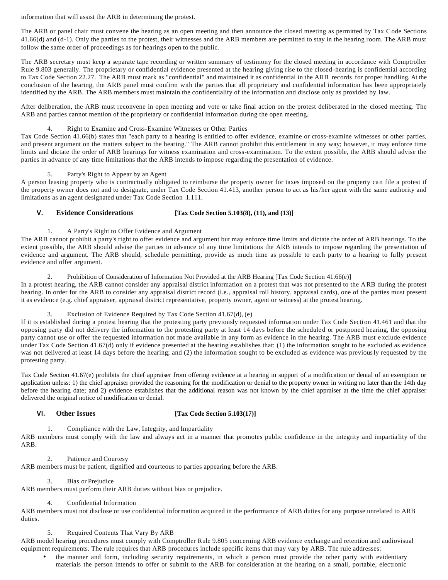information that will assist the ARB in determining the protest.

The ARB or panel chair must convene the hearing as an open meeting and then announce the closed meeting as permitted by Tax Code Sections 41.66(d) and (d-1). Only the parties to the protest, their witnesses and the ARB members are permitted to stay in the hearing room. The ARB must follow the same order of proceedings as for hearings open to the public.

The ARB secretary must keep a separate tape recording or written summary of testimony for the closed meeting in accordance with Comptroller Rule 9.803 generally. The proprietary or confidential evidence presented at the hearing giving rise to the closed-hearing is confidential according to Tax Code Section 22.27. The ARB must mark as "confidential" and maintained it as confidential in the ARB records for proper handling. At the conclusion of the hearing, the ARB panel must confirm with the parties that all proprietary and confidential information has been appropriately identified by the ARB. The ARB members must maintain the confidentiality of the information and disclose only as provided by law.

After deliberation, the ARB must reconvene in open meeting and vote or take final action on the protest deliberated in the closed meeting. The ARB and parties cannot mention of the proprietary or confidential information during the open meeting.

# 4. Right to Examine and Cross-Examine Witnesses or Other Parties

Tax Code Section 41.66(b) states that "each party to a hearing is entitled to offer evidence, examine or cross-examine witnesses or other parties, and present argument on the matters subject to the hearing." The ARB cannot prohibit this entitlement in any way; however, it may enforce time limits and dictate the order of ARB hearings for witness examination and cross-examination. To the extent possible, the ARB should advise the parties in advance of any time limitations that the ARB intends to impose regarding the presentation of evidence.

## 5. Party's Right to Appear by an Agent

A person leasing property who is contractually obligated to reimburse the property owner for taxes imposed on the property can file a protest if the property owner does not and to designate, under Tax Code Section 41.413, another person to act as his/her agent with the same authority and limitations as an agent designated under Tax Code Section 1.111.

# **V. Evidence Considerations [Tax Code Section 5.103(8), (11), and (13)]**

1. A Party's Right to Offer Evidence and Argument

The ARB cannot prohibit a party's right to offer evidence and argument but may enforce time limits and dictate the order of ARB hearings. To the extent possible, the ARB should advise the parties in advance of any time limitations the ARB intends to impose regarding the presentation of evidence and argument. The ARB should, schedule permitting, provide as much time as possible to each party to a hearing to fully present evidence and offer argument.

### 2. Prohibition of Consideration of Information Not Provided at the ARB Hearing [Tax Code Section 41.66(e)]

In a protest hearing, the ARB cannot consider any appraisal district information on a protest that was not presented to the ARB during the protest hearing. In order for the ARB to consider any appraisal district record (i.e., appraisal roll history, appraisal cards), one of the parties must present it as evidence (e.g. chief appraiser, appraisal district representative, property owner, agent or witness) at the protest hearing.

# 3. Exclusion of Evidence Required by Tax Code Section 41.67(d), (e)

If it is established during a protest hearing that the protesting party previously requested information under Tax Code Secti on 41.461 and that the opposing party did not delivery the information to the protesting party at least 14 days before the scheduled or postponed hearing, the opposing party cannot use or offer the requested information not made available in any form as evidence in the hearing. The ARB must e xclude evidence under Tax Code Section 41.67(d) only if evidence presented at the hearing establishes that: (1) the information sought to be excluded as evidence was not delivered at least 14 days before the hearing; and (2) the information sought to be excluded as evidence was previously requested by the protesting party.

Tax Code Section 41.67(e) prohibits the chief appraiser from offering evidence at a hearing in support of a modification or denial of an exemption or application unless: 1) the chief appraiser provided the reasoning for the modification or denial to the property owner in writing no later than the 14th day before the hearing date; and 2) evidence establishes that the additional reason was not known by the chief appraiser at the time the chief appraiser delivered the original notice of modification or denial.

# **VI. Other Issues [Tax Code Section 5.103(17)]**

1. Compliance with the Law, Integrity, and Impartiality

ARB members must comply with the law and always act in a manner that promotes public confidence in the integrity and impartia lity of the ARB.

# 2. Patience and Courtesy

ARB members must be patient, dignified and courteous to parties appearing before the ARB.

# 3. Bias or Prejudice

ARB members must perform their ARB duties without bias or prejudice.

# 4. Confidential Information

ARB members must not disclose or use confidential information acquired in the performance of ARB duties for any purpose unrelated to ARB duties.

# 5. Required Contents That Vary By ARB

ARB model hearing procedures must comply with Comptroller Rule 9.805 concerning ARB evidence exchange and retention and audiovisual equipment requirements. The rule requires that ARB procedures include specific items that may vary by ARB. The rule addresses:

• the manner and form, including security requirements, in which a person must provide the other party with evidentiary materials the person intends to offer or submit to the ARB for consideration at the hearing on a small, portable, electronic